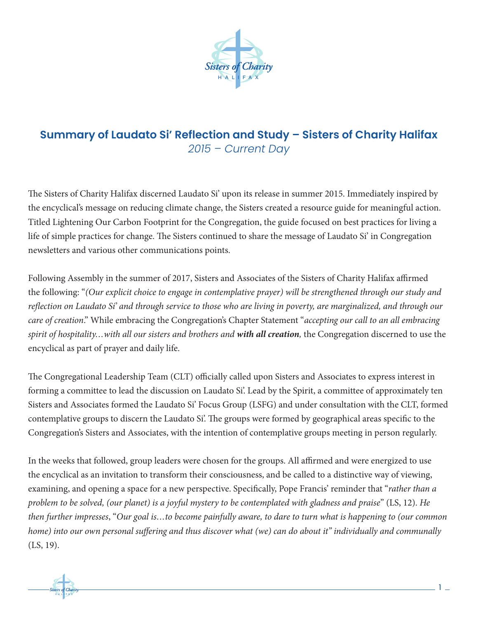

## **Summary of Laudato Si' Reflection and Study – Sisters of Charity Halifax** *2015 – Current Day*

The Sisters of Charity Halifax discerned Laudato Si' upon its release in summer 2015. Immediately inspired by the encyclical's message on reducing climate change, the Sisters created a resource guide for meaningful action. Titled Lightening Our Carbon Footprint for the Congregation, the guide focused on best practices for living a life of simple practices for change. The Sisters continued to share the message of Laudato Si' in Congregation newsletters and various other communications points.

Following Assembly in the summer of 2017, Sisters and Associates of the Sisters of Charity Halifax affirmed the following: "*(Our explicit choice to engage in contemplative prayer) will be strengthened through our study and reflection on Laudato Sí' and through service to those who are living in poverty, are marginalized, and through our care of creation*." While embracing the Congregation's Chapter Statement "*accepting our call to an all embracing spirit of hospitality…with all our sisters and brothers and with all creation,* the Congregation discerned to use the encyclical as part of prayer and daily life.

The Congregational Leadership Team (CLT) officially called upon Sisters and Associates to express interest in forming a committee to lead the discussion on Laudato Si'. Lead by the Spirit, a committee of approximately ten Sisters and Associates formed the Laudato Si' Focus Group (LSFG) and under consultation with the CLT, formed contemplative groups to discern the Laudato Si'. The groups were formed by geographical areas specific to the Congregation's Sisters and Associates, with the intention of contemplative groups meeting in person regularly.

In the weeks that followed, group leaders were chosen for the groups. All affirmed and were energized to use the encyclical as an invitation to transform their consciousness, and be called to a distinctive way of viewing, examining, and opening a space for a new perspective. Specifically, Pope Francis' reminder that "*rather than a problem to be solved, (our planet) is a joyful mystery to be contemplated with gladness and praise*" (LS, 12). *He then further impresses*, "*Our goal is…to become painfully aware, to dare to turn what is happening to (our common home) into our own personal suffering and thus discover what (we) can do about it" individually and communally* (LS, 19).

H A L I F A X